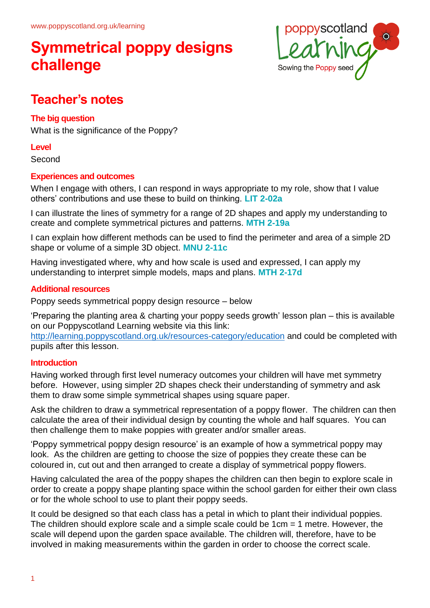

### **Teacher's notes**

### **The big question**

What is the significance of the Poppy?

#### **Level**

Second

### **Experiences and outcomes**

When I engage with others, I can respond in ways appropriate to my role, show that I value others' contributions and use these to build on thinking. **LIT 2-02a**

I can illustrate the lines of symmetry for a range of 2D shapes and apply my understanding to create and complete symmetrical pictures and patterns. **MTH 2-19a**

I can explain how different methods can be used to find the perimeter and area of a simple 2D shape or volume of a simple 3D object. **MNU 2-11c**

Having investigated where, why and how scale is used and expressed, I can apply my understanding to interpret simple models, maps and plans. **MTH 2-17d**

#### **Additional resources**

Poppy seeds symmetrical poppy design resource – below

'Preparing the planting area & charting your poppy seeds growth' lesson plan – this is available on our Poppyscotland Learning website via this link:

http://learning.poppyscotland.org.uk/resources-category/education and could be completed with pupils after this lesson.

### **Introduction**

Having worked through first level numeracy outcomes your children will have met symmetry before. However, using simpler 2D shapes check their understanding of symmetry and ask them to draw some simple symmetrical shapes using square paper.

Ask the children to draw a symmetrical representation of a poppy flower. The children can then calculate the area of their individual design by counting the whole and half squares. You can then challenge them to make poppies with greater and/or smaller areas.

'Poppy symmetrical poppy design resource' is an example of how a symmetrical poppy may look. As the children are getting to choose the size of poppies they create these can be coloured in, cut out and then arranged to create a display of symmetrical poppy flowers.

Having calculated the area of the poppy shapes the children can then begin to explore scale in order to create a poppy shape planting space within the school garden for either their own class or for the whole school to use to plant their poppy seeds.

It could be designed so that each class has a petal in which to plant their individual poppies. The children should explore scale and a simple scale could be 1cm = 1 metre. However, the scale will depend upon the garden space available. The children will, therefore, have to be involved in making measurements within the garden in order to choose the correct scale.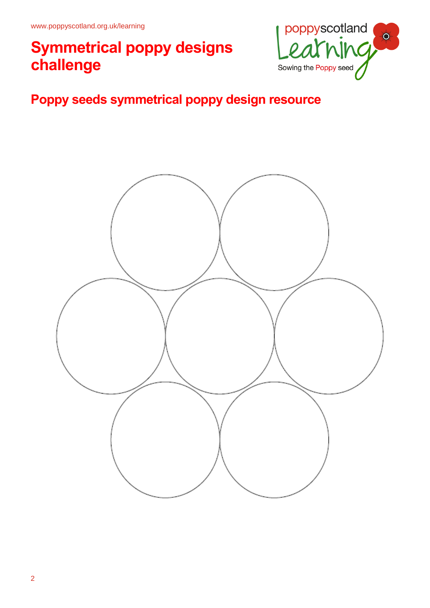

### **Poppy seeds symmetrical poppy design resource**

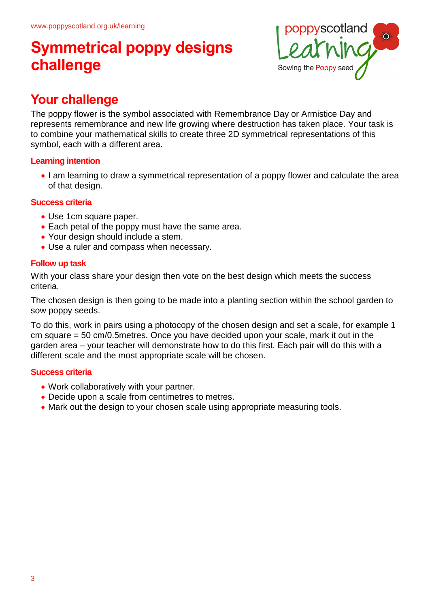

### **Your challenge**

The poppy flower is the symbol associated with Remembrance Day or Armistice Day and represents remembrance and new life growing where destruction has taken place. Your task is to combine your mathematical skills to create three 2D symmetrical representations of this symbol, each with a different area.

### **Learning intention**

• I am learning to draw a symmetrical representation of a poppy flower and calculate the area of that design.

#### **Success criteria**

- Use 1cm square paper.
- Each petal of the poppy must have the same area.
- Your design should include a stem.
- Use a ruler and compass when necessary.

### **Follow up task**

With your class share your design then vote on the best design which meets the success criteria.

The chosen design is then going to be made into a planting section within the school garden to sow poppy seeds.

To do this, work in pairs using a photocopy of the chosen design and set a scale, for example 1 cm square = 50 cm/0.5metres. Once you have decided upon your scale, mark it out in the garden area – your teacher will demonstrate how to do this first. Each pair will do this with a different scale and the most appropriate scale will be chosen.

### **Success criteria**

- Work collaboratively with your partner.
- Decide upon a scale from centimetres to metres.
- Mark out the design to your chosen scale using appropriate measuring tools.